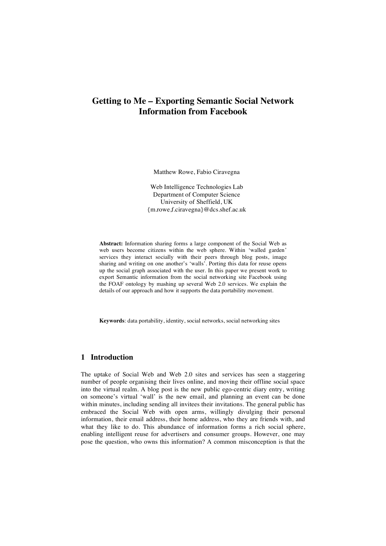# **Getting to Me – Exporting Semantic Social Network Information from Facebook**

Matthew Rowe, Fabio Ciravegna

Web Intelligence Technologies Lab Department of Computer Science University of Sheffield, UK {m.rowe,f.ciravegna}@dcs.shef.ac.uk

**Abstract:** Information sharing forms a large component of the Social Web as web users become citizens within the web sphere. Within 'walled garden' services they interact socially with their peers through blog posts, image sharing and writing on one another's 'walls'. Porting this data for reuse opens up the social graph associated with the user. In this paper we present work to export Semantic information from the social networking site Facebook using the FOAF ontology by mashing up several Web 2.0 services. We explain the details of our approach and how it supports the data portability movement.

**Keywords**: data portability, identity, social networks, social networking sites

#### **1 Introduction**

The uptake of Social Web and Web 2.0 sites and services has seen a staggering number of people organising their lives online, and moving their offline social space into the virtual realm. A blog post is the new public ego-centric diary entry, writing on someone's virtual 'wall' is the new email, and planning an event can be done within minutes, including sending all invitees their invitations. The general public has embraced the Social Web with open arms, willingly divulging their personal information, their email address, their home address, who they are friends with, and what they like to do. This abundance of information forms a rich social sphere, enabling intelligent reuse for advertisers and consumer groups. However, one may pose the question, who owns this information? A common misconception is that the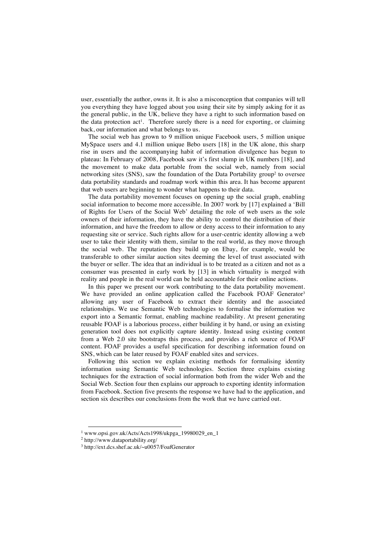user, essentially the author, owns it. It is also a misconception that companies will tell you everything they have logged about you using their site by simply asking for it as the general public, in the UK, believe they have a right to such information based on the data protection act<sup>1</sup>. Therefore surely there is a need for exporting, or claiming back, our information and what belongs to us.

The social web has grown to 9 million unique Facebook users, 5 million unique MySpace users and 4.1 million unique Bebo users [18] in the UK alone, this sharp rise in users and the accompanying habit of information divulgence has begun to plateau: In February of 2008, Facebook saw it's first slump in UK numbers [18], and the movement to make data portable from the social web, namely from social networking sites (SNS), saw the foundation of the Data Portability group<sup>2</sup> to oversee data portability standards and roadmap work within this area. It has become apparent that web users are beginning to wonder what happens to their data.

The data portability movement focuses on opening up the social graph, enabling social information to become more accessible. In 2007 work by [17] explained a 'Bill of Rights for Users of the Social Web' detailing the role of web users as the sole owners of their information, they have the ability to control the distribution of their information, and have the freedom to allow or deny access to their information to any requesting site or service. Such rights allow for a user-centric identity allowing a web user to take their identity with them, similar to the real world, as they move through the social web. The reputation they build up on Ebay, for example, would be transferable to other similar auction sites deeming the level of trust associated with the buyer or seller. The idea that an individual is to be treated as a citizen and not as a consumer was presented in early work by [13] in which virtuality is merged with reality and people in the real world can be held accountable for their online actions.

In this paper we present our work contributing to the data portability movement. We have provided an online application called the Facebook FOAF Generator<sup>3</sup> allowing any user of Facebook to extract their identity and the associated relationships. We use Semantic Web technologies to formalise the information we export into a Semantic format, enabling machine readability. At present generating reusable FOAF is a laborious process, either building it by hand, or using an existing generation tool does not explicitly capture identity. Instead using existing content from a Web 2.0 site bootstraps this process, and provides a rich source of FOAF content. FOAF provides a useful specification for describing information found on SNS, which can be later reused by FOAF enabled sites and services.

Following this section we explain existing methods for formalising identity information using Semantic Web technologies. Section three explains existing techniques for the extraction of social information both from the wider Web and the Social Web. Section four then explains our approach to exporting identity information from Facebook. Section five presents the response we have had to the application, and section six describes our conclusions from the work that we have carried out.

 $1$  www.opsi.gov.uk/Acts/Acts1998/ukpga\_19980029\_en\_1

<sup>2</sup> http://www.dataportability.org/

<sup>3</sup> http://ext.dcs.shef.ac.uk/~u0057/FoafGenerator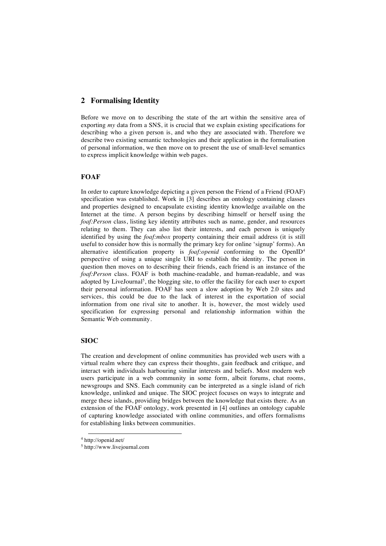## **2 Formalising Identity**

Before we move on to describing the state of the art within the sensitive area of exporting *my* data from a SNS, it is crucial that we explain existing specifications for describing who a given person is, and who they are associated with. Therefore we describe two existing semantic technologies and their application in the formalisation of personal information, we then move on to present the use of small-level semantics to express implicit knowledge within web pages.

## **FOAF**

In order to capture knowledge depicting a given person the Friend of a Friend (FOAF) specification was established. Work in [3] describes an ontology containing classes and properties designed to encapsulate existing identity knowledge available on the Internet at the time. A person begins by describing himself or herself using the *foaf:Person* class, listing key identity attributes such as name, gender, and resources relating to them. They can also list their interests, and each person is uniquely identified by using the *foaf:mbox* property containing their email address (it is still useful to consider how this is normally the primary key for online 'signup' forms). An alternative identification property is *foaf:openid* conforming to the OpenID4 perspective of using a unique single URI to establish the identity. The person in question then moves on to describing their friends, each friend is an instance of the *foaf:Person* class. FOAF is both machine-readable, and human-readable, and was adopted by LiveJournal<sup>5</sup>, the blogging site, to offer the facility for each user to export their personal information. FOAF has seen a slow adoption by Web 2.0 sites and services, this could be due to the lack of interest in the exportation of social information from one rival site to another. It is, however, the most widely used specification for expressing personal and relationship information within the Semantic Web community.

## **SIOC**

The creation and development of online communities has provided web users with a virtual realm where they can express their thoughts, gain feedback and critique, and interact with individuals harbouring similar interests and beliefs. Most modern web users participate in a web community in some form, albeit forums, chat rooms, newsgroups and SNS. Each community can be interpreted as a single island of rich knowledge, unlinked and unique. The SIOC project focuses on ways to integrate and merge these islands, providing bridges between the knowledge that exists there. As an extension of the FOAF ontology, work presented in [4] outlines an ontology capable of capturing knowledge associated with online communities, and offers formalisms for establishing links between communities.

 <sup>4</sup> http://openid.net/

<sup>5</sup> http://www.livejournal.com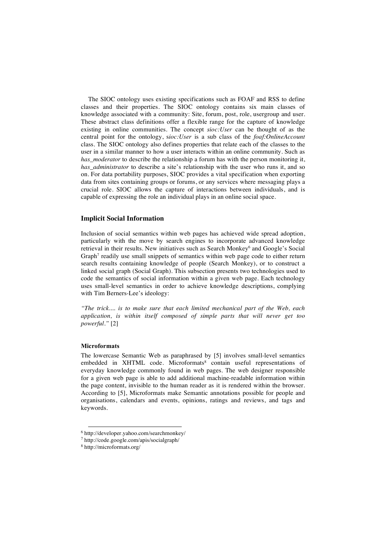The SIOC ontology uses existing specifications such as FOAF and RSS to define classes and their properties. The SIOC ontology contains six main classes of knowledge associated with a community: Site, forum, post, role, usergroup and user. These abstract class definitions offer a flexible range for the capture of knowledge existing in online communities. The concept *sioc:User* can be thought of as the central point for the ontology, s*ioc:User* is a sub class of the *foaf:OnlineAccount* class. The SIOC ontology also defines properties that relate each of the classes to the user in a similar manner to how a user interacts within an online community. Such as *has\_moderator* to describe the relationship a forum has with the person monitoring it, *has\_administrator* to describe a site's relationship with the user who runs it, and so on. For data portability purposes, SIOC provides a vital specification when exporting data from sites containing groups or forums, or any services where messaging plays a crucial role. SIOC allows the capture of interactions between individuals, and is capable of expressing the role an individual plays in an online social space.

#### **Implicit Social Information**

Inclusion of social semantics within web pages has achieved wide spread adoption, particularly with the move by search engines to incorporate advanced knowledge retrieval in their results. New initiatives such as Search Monkey<sup>6</sup> and Google's Social Graph<sup>7</sup> readily use small snippets of semantics within web page code to either return search results containing knowledge of people (Search Monkey), or to construct a linked social graph (Social Graph). This subsection presents two technologies used to code the semantics of social information within a given web page. Each technology uses small-level semantics in order to achieve knowledge descriptions, complying with Tim Berners-Lee's ideology:

*"The trick.... is to make sure that each limited mechanical part of the Web, each application, is within itself composed of simple parts that will never get too powerful."* [2]

## **Microformats**

The lowercase Semantic Web as paraphrased by [5] involves small-level semantics embedded in XHTML code. Microformats<sup>8</sup> contain useful representations of everyday knowledge commonly found in web pages. The web designer responsible for a given web page is able to add additional machine-readable information within the page content, invisible to the human reader as it is rendered within the browser. According to [5], Microformats make Semantic annotations possible for people and organisations, calendars and events, opinions, ratings and reviews, and tags and keywords.

 <sup>6</sup> http://developer.yahoo.com/searchmonkey/

<sup>7</sup> http://code.google.com/apis/socialgraph/

<sup>8</sup> http://microformats.org/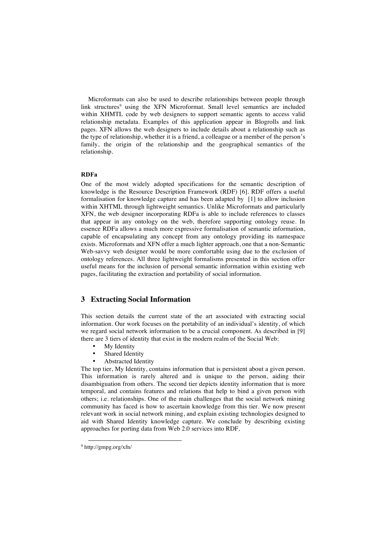Microformats can also be used to describe relationships between people through link structures<sup>9</sup> using the XFN Microformat. Small level semantics are included within XHMTL code by web designers to support semantic agents to access valid relationship metadata. Examples of this application appear in Blogrolls and link pages. XFN allows the web designers to include details about a relationship such as the type of relationship, whether it is a friend, a colleague or a member of the person's family, the origin of the relationship and the geographical semantics of the relationship.

#### **RDFa**

One of the most widely adopted specifications for the semantic description of knowledge is the Resource Description Framework (RDF) [6]. RDF offers a useful formalisation for knowledge capture and has been adapted by [1] to allow inclusion within XHTML through lightweight semantics. Unlike Microformats and particularly XFN, the web designer incorporating RDFa is able to include references to classes that appear in any ontology on the web, therefore supporting ontology reuse. In essence RDFa allows a much more expressive formalisation of semantic information, capable of encapsulating any concept from any ontology providing its namespace exists. Microformats and XFN offer a much lighter approach, one that a non-Semantic Web-savvy web designer would be more comfortable using due to the exclusion of ontology references. All three lightweight formalisms presented in this section offer useful means for the inclusion of personal semantic information within existing web pages, facilitating the extraction and portability of social information.

## **3 Extracting Social Information**

This section details the current state of the art associated with extracting social information. Our work focuses on the portability of an individual's identity, of which we regard social network information to be a crucial component. As described in [9] there are 3 tiers of identity that exist in the modern realm of the Social Web:

- **My** Identity
- Shared Identity
- Abstracted Identity

The top tier, My Identity, contains information that is persistent about a given person. This information is rarely altered and is unique to the person, aiding their disambiguation from others. The second tier depicts identity information that is more temporal, and contains features and relations that help to bind a given person with others; i.e. relationships. One of the main challenges that the social network mining community has faced is how to ascertain knowledge from this tier. We now present relevant work in social network mining, and explain existing technologies designed to aid with Shared Identity knowledge capture. We conclude by describing existing approaches for porting data from Web 2.0 services into RDF.

 <sup>9</sup> http://gmpg.org/xfn/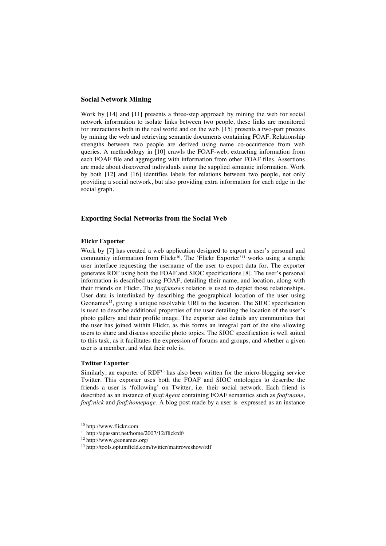#### **Social Network Mining**

Work by [14] and [11] presents a three-step approach by mining the web for social network information to isolate links between two people, these links are monitored for interactions both in the real world and on the web. [15] presents a two-part process by mining the web and retrieving semantic documents containing FOAF. Relationship strengths between two people are derived using name co-occurrence from web queries. A methodology in [10] crawls the FOAF-web, extracting information from each FOAF file and aggregating with information from other FOAF files. Assertions are made about discovered individuals using the supplied semantic information. Work by both [12] and [16] identifies labels for relations between two people, not only providing a social network, but also providing extra information for each edge in the social graph.

#### **Exporting Social Networks from the Social Web**

#### **Flickr Exporter**

Work by [7] has created a web application designed to export a user's personal and community information from Flickr<sup>10</sup>. The 'Flickr Exporter'<sup>11</sup> works using a simple user interface requesting the username of the user to export data for. The exporter generates RDF using both the FOAF and SIOC specifications [8]. The user's personal information is described using FOAF, detailing their name, and location, along with their friends on Flickr. The *foaf:knows* relation is used to depict those relationships. User data is interlinked by describing the geographical location of the user using Geonames<sup>12</sup>, giving a unique resolvable URI to the location. The SIOC specification is used to describe additional properties of the user detailing the location of the user's photo gallery and their profile image. The exporter also details any communities that the user has joined within Flickr, as this forms an integral part of the site allowing users to share and discuss specific photo topics. The SIOC specification is well suited to this task, as it facilitates the expression of forums and groups, and whether a given user is a member, and what their role is.

#### **Twitter Exporter**

Similarly, an exporter of RDF13 has also been written for the micro-blogging service Twitter. This exporter uses both the FOAF and SIOC ontologies to describe the friends a user is 'following' on Twitter, i.e. their social network. Each friend is described as an instance of *foaf:Agent* containing FOAF semantics such as *foaf:name*, *foaf:nick* and *foaf:homepage*. A blog post made by a user is expressed as an instance

 <sup>10</sup> http://www.flickr.com

<sup>11</sup> http://apassant.net/home/2007/12/flickrdf/

<sup>12</sup> http://www.geonames.org/

<sup>13</sup> http://tools.opiumfield.com/twitter/mattroweshow/rdf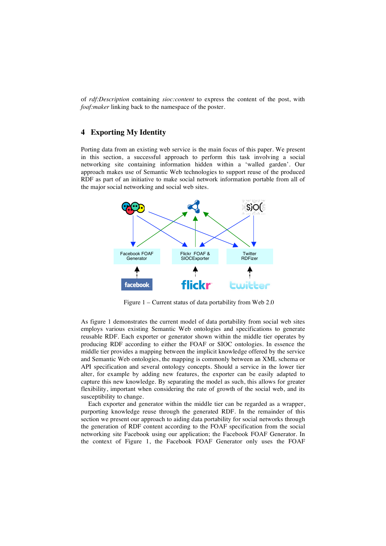of *rdf:Description* containing *sioc:content* to express the content of the post, with *foaf:maker* linking back to the namespace of the poster.

## **4 Exporting My Identity**

Porting data from an existing web service is the main focus of this paper. We present in this section, a successful approach to perform this task involving a social networking site containing information hidden within a 'walled garden'. Our approach makes use of Semantic Web technologies to support reuse of the produced RDF as part of an initiative to make social network information portable from all of the major social networking and social web sites.



Figure 1 – Current status of data portability from Web 2.0

As figure 1 demonstrates the current model of data portability from social web sites employs various existing Semantic Web ontologies and specifications to generate reusable RDF. Each exporter or generator shown within the middle tier operates by producing RDF according to either the FOAF or SIOC ontologies. In essence the middle tier provides a mapping between the implicit knowledge offered by the service and Semantic Web ontologies, the mapping is commonly between an XML schema or API specification and several ontology concepts. Should a service in the lower tier alter, for example by adding new features, the exporter can be easily adapted to capture this new knowledge. By separating the model as such, this allows for greater flexibility, important when considering the rate of growth of the social web, and its susceptibility to change.

Each exporter and generator within the middle tier can be regarded as a wrapper, purporting knowledge reuse through the generated RDF. In the remainder of this section we present our approach to aiding data portability for social networks through the generation of RDF content according to the FOAF specification from the social networking site Facebook using our application; the Facebook FOAF Generator. In the context of Figure 1, the Facebook FOAF Generator only uses the FOAF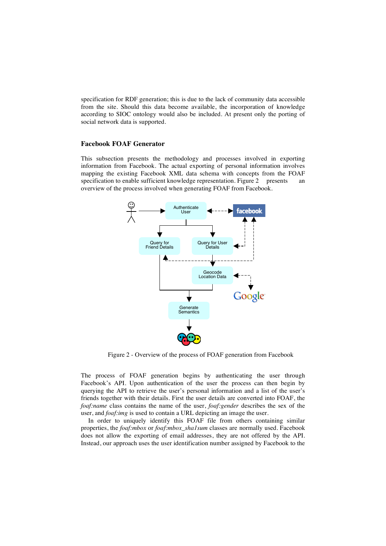specification for RDF generation; this is due to the lack of community data accessible from the site. Should this data become available, the incorporation of knowledge according to SIOC ontology would also be included. At present only the porting of social network data is supported.

#### **Facebook FOAF Generator**

This subsection presents the methodology and processes involved in exporting information from Facebook. The actual exporting of personal information involves mapping the existing Facebook XML data schema with concepts from the FOAF specification to enable sufficient knowledge representation. Figure 2 presents an overview of the process involved when generating FOAF from Facebook.



Figure 2 - Overview of the process of FOAF generation from Facebook

The process of FOAF generation begins by authenticating the user through Facebook's API. Upon authentication of the user the process can then begin by querying the API to retrieve the user's personal information and a list of the user's friends together with their details. First the user details are converted into FOAF, the *foaf:name* class contains the name of the user, *foaf:gender* describes the sex of the user, and *foaf:img* is used to contain a URL depicting an image the user.

In order to uniquely identify this FOAF file from others containing similar properties, the *foaf:mbox* or *foaf:mbox\_sha1sum* classes are normally used. Facebook does not allow the exporting of email addresses, they are not offered by the API. Instead, our approach uses the user identification number assigned by Facebook to the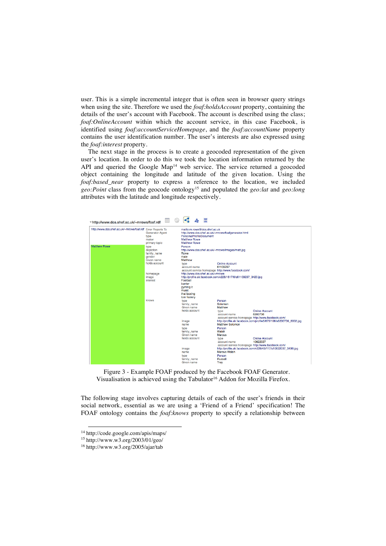user. This is a simple incremental integer that is often seen in browser query strings when using the site. Therefore we used the *foaf:holdsAccount* property, containing the details of the user's account with Facebook. The account is described using the class; *foaf:OnlineAccount* within which the account service, in this case Facebook, is identified using *foaf:accountServiceHomepage*, and the *foaf:accountName* property contains the user identification number. The user's interests are also expressed using the *foaf:interest* property.

The next stage in the process is to create a geocoded representation of the given user's location. In order to do this we took the location information returned by the API and queried the Google Map<sup>14</sup> web service. The service returned a geocoded object containing the longitude and latitude of the given location. Using the *foaf:based near* property to express a reference to the location, we included *geo:Point* class from the geocode ontology15 and populated the *geo:lat* and *geo:long* attributes with the latitude and longitude respectively.



Figure 3 - Example FOAF produced by the Facebook FOAF Generator. Visualisation is achieved using the Tabulator<sup>16</sup> Addon for Mozilla Firefox.

The following stage involves capturing details of each of the user's friends in their social network, essential as we are using a 'Friend of a Friend' specification! The FOAF ontology contains the *foaf:knows* property to specify a relationship between

 <sup>14</sup> http://code.google.com/apis/maps/

<sup>15</sup> http://www.w3.org/2003/01/geo/

<sup>16</sup> http://www.w3.org/2005/ajar/tab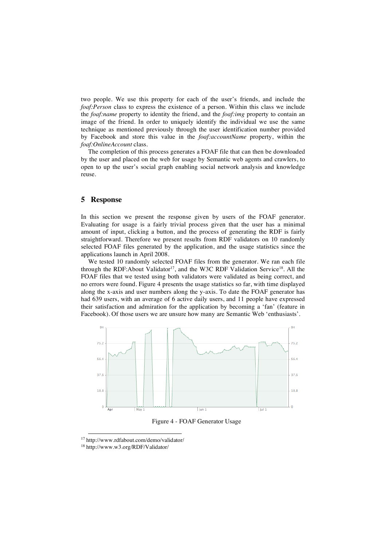two people. We use this property for each of the user's friends, and include the *foaf:Person* class to express the existence of a person. Within this class we include the *foaf:name* property to identity the friend, and the *foaf:img* property to contain an image of the friend. In order to uniquely identify the individual we use the same technique as mentioned previously through the user identification number provided by Facebook and store this value in the *foaf:accountName* property, within the *foaf:OnlineAccount* class.

The completion of this process generates a FOAF file that can then be downloaded by the user and placed on the web for usage by Semantic web agents and crawlers, to open to up the user's social graph enabling social network analysis and knowledge reuse.

#### **5 Response**

In this section we present the response given by users of the FOAF generator. Evaluating for usage is a fairly trivial process given that the user has a minimal amount of input, clicking a button, and the process of generating the RDF is fairly straightforward. Therefore we present results from RDF validators on 10 randomly selected FOAF files generated by the application, and the usage statistics since the applications launch in April 2008.

We tested 10 randomly selected FOAF files from the generator. We ran each file through the RDF:About Validator<sup>17</sup>, and the W3C RDF Validation Service<sup>18</sup>. All the FOAF files that we tested using both validators were validated as being correct, and no errors were found. Figure 4 presents the usage statistics so far, with time displayed along the x-axis and user numbers along the y-axis. To date the FOAF generator has had 639 users, with an average of 6 active daily users, and 11 people have expressed their satisfaction and admiration for the application by becoming a 'fan' (feature in Facebook). Of those users we are unsure how many are Semantic Web 'enthusiasts'.



Figure 4 - FOAF Generator Usage

 <sup>17</sup> http://www.rdfabout.com/demo/validator/

<sup>18</sup> http://www.w3.org/RDF/Validator/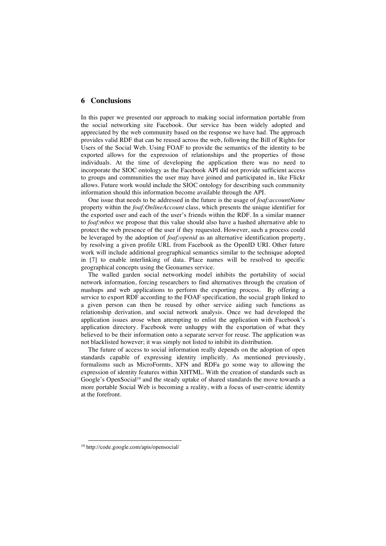## **6 Conclusions**

In this paper we presented our approach to making social information portable from the social networking site Facebook. Our service has been widely adopted and appreciated by the web community based on the response we have had. The approach provides valid RDF that can be reused across the web, following the Bill of Rights for Users of the Social Web. Using FOAF to provide the semantics of the identity to be exported allows for the expression of relationships and the properties of those individuals. At the time of developing the application there was no need to incorporate the SIOC ontology as the Facebook API did not provide sufficient access to groups and communities the user may have joined and participated in, like Flickr allows. Future work would include the SIOC ontology for describing such community information should this information become available through the API.

One issue that needs to be addressed in the future is the usage of *foaf:accountName* property within the *foaf:OnlineAccount* class, which presents the unique identifier for the exported user and each of the user's friends within the RDF. In a similar manner to *foaf:mbox* we propose that this value should also have a hashed alternative able to protect the web presence of the user if they requested. However, such a process could be leveraged by the adoption of *foaf:openid* as an alternative identification property, by resolving a given profile URL from Facebook as the OpenID URI. Other future work will include additional geographical semantics similar to the technique adopted in [7] to enable interlinking of data. Place names will be resolved to specific geographical concepts using the Geonames service.

The walled garden social networking model inhibits the portability of social network information, forcing researchers to find alternatives through the creation of mashups and web applications to perform the exporting process. By offering a service to export RDF according to the FOAF specification, the social graph linked to a given person can then be reused by other service aiding such functions as relationship derivation, and social network analysis. Once we had developed the application issues arose when attempting to enlist the application with Facebook's application directory. Facebook were unhappy with the exportation of what they believed to be their information onto a separate server for reuse. The application was not blacklisted however; it was simply not listed to inhibit its distribution.

The future of access to social information really depends on the adoption of open standards capable of expressing identity implicitly. As mentioned previously, formalisms such as MicroFormts, XFN and RDFa go some way to allowing the expression of identity features within XHTML. With the creation of standards such as Google's OpenSocial<sup>19</sup> and the steady uptake of shared standards the move towards a more portable Social Web is becoming a reality, with a focus of user-centric identity at the forefront.

 <sup>19</sup> http://code.google.com/apis/opensocial/